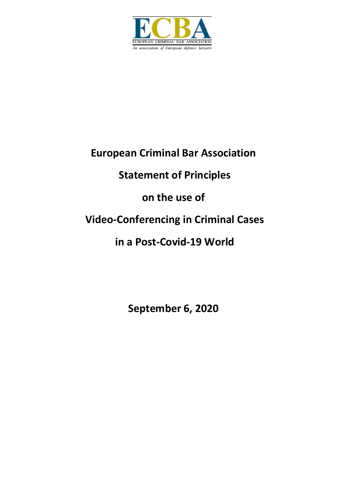

## **European Criminal Bar Association**

# **Statement of Principles**

## **on the use of**

## **Video-Conferencing in Criminal Cases**

## **in a Post-Covid-19 World**

**September 6, 2020**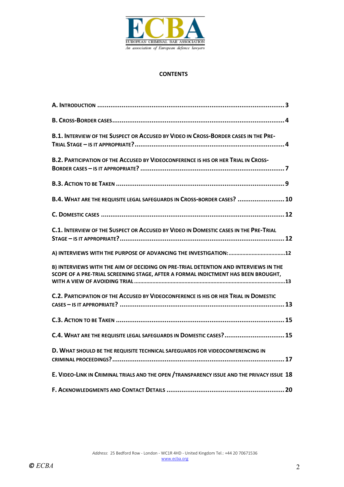

#### **CONTENTS**

| <b>B.1. INTERVIEW OF THE SUSPECT OR ACCUSED BY VIDEO IN CROSS-BORDER CASES IN THE PRE-</b>                                                                               |
|--------------------------------------------------------------------------------------------------------------------------------------------------------------------------|
| <b>B.2. PARTICIPATION OF THE ACCUSED BY VIDEOCONFERENCE IS HIS OR HER TRIAL IN CROSS-</b>                                                                                |
|                                                                                                                                                                          |
| B.4. WHAT ARE THE REQUISITE LEGAL SAFEGUARDS IN CROSS-BORDER CASES?  10                                                                                                  |
|                                                                                                                                                                          |
| C.1. INTERVIEW OF THE SUSPECT OR ACCUSED BY VIDEO IN DOMESTIC CASES IN THE PRE-TRIAL                                                                                     |
|                                                                                                                                                                          |
| B) INTERVIEWS WITH THE AIM OF DECIDING ON PRE-TRIAL DETENTION AND INTERVIEWS IN THE<br>SCOPE OF A PRE-TRIAL SCREENING STAGE, AFTER A FORMAL INDICTMENT HAS BEEN BROUGHT, |
| C.2. PARTICIPATION OF THE ACCUSED BY VIDEOCONFERENCE IS HIS OR HER TRIAL IN DOMESTIC                                                                                     |
|                                                                                                                                                                          |
| C.4. WHAT ARE THE REQUISITE LEGAL SAFEGUARDS IN DOMESTIC CASES?  15                                                                                                      |
| D. WHAT SHOULD BE THE REQUISITE TECHNICAL SAFEGUARDS FOR VIDEOCONFERENCING IN                                                                                            |
| E. VIDEO-LINK IN CRIMINAL TRIALS AND THE OPEN / TRANSPARENCY ISSUE AND THE PRIVACY ISSUE 18                                                                              |
|                                                                                                                                                                          |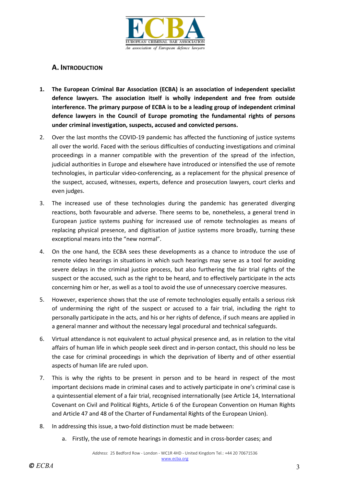

## **A. INTRODUCTION**

- **1. The European Criminal Bar Association (ECBA) is an association of independent specialist defence lawyers. The association itself is wholly independent and free from outside interference. The primary purpose of ECBA is to be a leading group of independent criminal defence lawyers in the Council of Europe promoting the fundamental rights of persons under criminal investigation, suspects, accused and convicted persons.**
- 2. Over the last months the COVID-19 pandemic has affected the functioning of justice systems all over the world. Faced with the serious difficulties of conducting investigations and criminal proceedings in a manner compatible with the prevention of the spread of the infection, judicial authorities in Europe and elsewhere have introduced or intensified the use of remote technologies, in particular video-conferencing, as a replacement for the physical presence of the suspect, accused, witnesses, experts, defence and prosecution lawyers, court clerks and even judges.
- 3. The increased use of these technologies during the pandemic has generated diverging reactions, both favourable and adverse. There seems to be, nonetheless, a general trend in European justice systems pushing for increased use of remote technologies as means of replacing physical presence, and digitisation of justice systems more broadly, turning these exceptional means into the "new normal".
- 4. On the one hand, the ECBA sees these developments as a chance to introduce the use of remote video hearings in situations in which such hearings may serve as a tool for avoiding severe delays in the criminal justice process, but also furthering the fair trial rights of the suspect or the accused, such as the right to be heard, and to effectively participate in the acts concerning him or her, as well as a tool to avoid the use of unnecessary coercive measures.
- 5. However, experience shows that the use of remote technologies equally entails a serious risk of undermining the right of the suspect or accused to a fair trial, including the right to personally participate in the acts, and his or her rights of defence, if such means are applied in a general manner and without the necessary legal procedural and technical safeguards.
- 6. Virtual attendance is not equivalent to actual physical presence and, as in relation to the vital affairs of human life in which people seek direct and in-person contact, this should no less be the case for criminal proceedings in which the deprivation of liberty and of other essential aspects of human life are ruled upon.
- 7. This is why the rights to be present in person and to be heard in respect of the most important decisions made in criminal cases and to actively participate in one's criminal case is a quintessential element of a fair trial, recognised internationally (see Article 14, International Covenant on Civil and Political Rights, Article 6 of the European Convention on Human Rights and Article 47 and 48 of the Charter of Fundamental Rights of the European Union).
- 8. In addressing this issue, a two-fold distinction must be made between:
	- a. Firstly, the use of remote hearings in domestic and in cross-border cases; and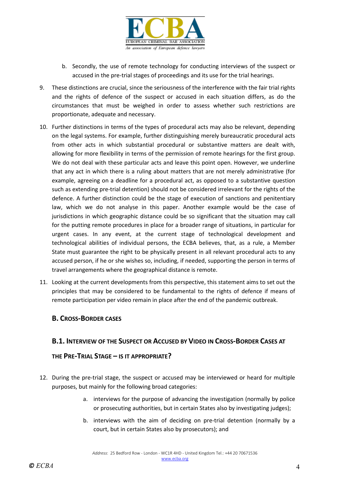

- b. Secondly, the use of remote technology for conducting interviews of the suspect or accused in the pre-trial stages of proceedings and its use for the trial hearings.
- 9. These distinctions are crucial, since the seriousness of the interference with the fair trial rights and the rights of defence of the suspect or accused in each situation differs, as do the circumstances that must be weighed in order to assess whether such restrictions are proportionate, adequate and necessary.
- 10. Further distinctions in terms of the types of procedural acts may also be relevant, depending on the legal systems. For example, further distinguishing merely bureaucratic procedural acts from other acts in which substantial procedural or substantive matters are dealt with, allowing for more flexibility in terms of the permission of remote hearings for the first group. We do not deal with these particular acts and leave this point open. However, we underline that any act in which there is a ruling about matters that are not merely administrative (for example, agreeing on a deadline for a procedural act, as opposed to a substantive question such as extending pre-trial detention) should not be considered irrelevant for the rights of the defence. A further distinction could be the stage of execution of sanctions and penitentiary law, which we do not analyse in this paper. Another example would be the case of jurisdictions in which geographic distance could be so significant that the situation may call for the putting remote procedures in place for a broader range of situations, in particular for urgent cases. In any event, at the current stage of technological development and technological abilities of individual persons, the ECBA believes, that, as a rule, a Member State must guarantee the right to be physically present in all relevant procedural acts to any accused person, if he or she wishes so, including, if needed, supporting the person in terms of travel arrangements where the geographical distance is remote.
- 11. Looking at the current developments from this perspective, this statement aims to set out the principles that may be considered to be fundamental to the rights of defence if means of remote participation per video remain in place after the end of the pandemic outbreak.

## **B. CROSS-BORDER CASES**

#### **B.1. INTERVIEW OF THE SUSPECT OR ACCUSED BY VIDEO IN CROSS-BORDER CASES AT**

#### **THE PRE-TRIAL STAGE – IS IT APPROPRIATE?**

- 12. During the pre-trial stage, the suspect or accused may be interviewed or heard for multiple purposes, but mainly for the following broad categories:
	- a. interviews for the purpose of advancing the investigation (normally by police or prosecuting authorities, but in certain States also by investigating judges);
	- b. interviews with the aim of deciding on pre-trial detention (normally by a court, but in certain States also by prosecutors); and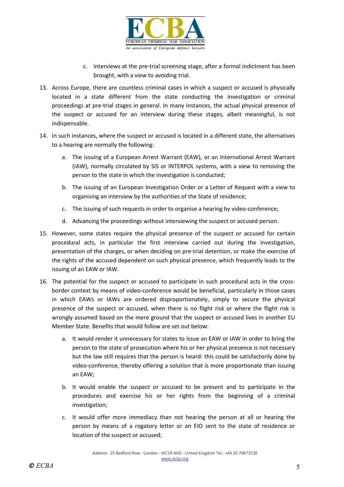

- c. interviews at the pre-trial screening stage, after a formal indictment has been brought, with a view to avoiding trial.
- 13. Across Europe, there are countless criminal cases in which a suspect or accused is physically located in a state different from the state conducting the investigation or criminal proceedings at pre-trial stages in general. In many instances, the actual physical presence of the suspect or accused for an interview during these stages, albeit meaningful, is not indispensable.
- 14. In such instances, where the suspect or accused is located in a different state, the alternatives to a hearing are normally the following:
	- a. The issuing of a European Arrest Warrant (EAW), or an International Arrest Warrant (IAW), normally circulated by SIS or INTERPOL systems, with a view to removing the person to the state in which the investigation is conducted;
	- b. The issuing of an European Investigation Order or a Letter of Request with a view to organising an interview by the authorities of the State of residence;
	- c. The issuing of such requests in order to organise a hearing by video-conference;
	- d. Advancing the proceedings without interviewing the suspect or accused person.
- 15. However, some states require the physical presence of the suspect or accused for certain procedural acts, in particular the first interview carried out during the investigation, presentation of the charges, or when deciding on pre-trial detention, or make the exercise of the rights of the accused dependent on such physical presence, which frequently leads to the issuing of an EAW or IAW.
- 16. The potential for the suspect or accused to participate in such procedural acts in the crossborder context by means of video-conference would be beneficial, particularly in those cases in which EAWs or IAWs are ordered disproportionately, simply to secure the physical presence of the suspect or accused, when there is no flight risk or where the flight risk is wrongly assumed based on the mere ground that the suspect or accused lives in another EU Member State. Benefits that would follow are set out below:
	- a. It would render it unnecessary for states to issue an EAW or IAW in order to bring the person to the state of prosecution where his or her physical presence is not necessary but the law still requires that the person is heard: this could be satisfactorily done by video-conference, thereby offering a solution that is more proportionate than issuing an EAW;
	- b. It would enable the suspect or accused to be present and to participate in the procedures and exercise his or her rights from the beginning of a criminal investigation;
	- c. It would offer more immediacy than not hearing the person at all or hearing the person by means of a rogatory letter or an EIO sent to the state of residence or location of the suspect or accused;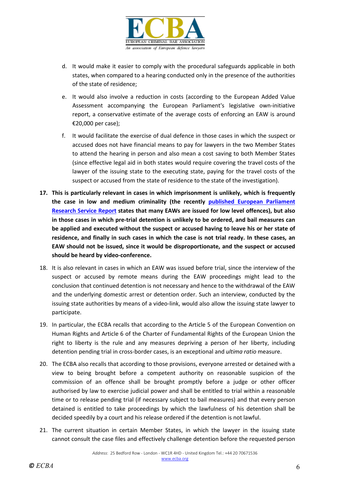

- d. It would make it easier to comply with the procedural safeguards applicable in both states, when compared to a hearing conducted only in the presence of the authorities of the state of residence;
- e. It would also involve a reduction in costs (according to the European Added Value Assessment accompanying the European Parliament's legislative own-initiative report, a conservative estimate of the average costs of enforcing an EAW is around €20,000 per case);
- f. It would facilitate the exercise of dual defence in those cases in which the suspect or accused does not have financial means to pay for lawyers in the two Member States to attend the hearing in person and also mean a cost saving to both Member States (since effective legal aid in both states would require covering the travel costs of the lawyer of the issuing state to the executing state, paying for the travel costs of the suspect or accused from the state of residence to the state of the investigation).
- **17. This is particularly relevant in cases in which imprisonment is unlikely, which is frequently the case in low and medium criminality (the recently [published European Parliament](https://www.europarl.europa.eu/RegData/etudes/STUD/2020/642839/EPRS_STU(2020)642839_EN.pdf)  [Research Service](https://www.europarl.europa.eu/RegData/etudes/STUD/2020/642839/EPRS_STU(2020)642839_EN.pdf) Report states that many EAWs are issued for low level offences), but also in those cases in which pre-trial detention is unlikely to be ordered, and bail measures can be applied and executed without the suspect or accused having to leave his or her state of residence, and finally in such cases in which the case is not trial ready. In these cases, an EAW should not be issued, since it would be disproportionate, and the suspect or accused should be heard by video-conference.**
- 18. It is also relevant in cases in which an EAW was issued before trial, since the interview of the suspect or accused by remote means during the EAW proceedings might lead to the conclusion that continued detention is not necessary and hence to the withdrawal of the EAW and the underlying domestic arrest or detention order. Such an interview, conducted by the issuing state authorities by means of a video-link, would also allow the issuing state lawyer to participate.
- 19. In particular, the ECBA recalls that according to the Article 5 of the European Convention on Human Rights and Article 6 of the Charter of Fundamental Rights of the European Union the right to liberty is the rule and any measures depriving a person of her liberty, including detention pending trial in cross-border cases, is an exceptional and *ultima ratio* measure.
- 20. The ECBA also recalls that according to those provisions, everyone arrested or detained with a view to being brought before a competent authority on reasonable suspicion of the commission of an offence shall be brought promptly before a judge or other officer authorised by law to exercise judicial power and shall be entitled to trial within a reasonable time or to release pending trial (if necessary subject to bail measures) and that every person detained is entitled to take proceedings by which the lawfulness of his detention shall be decided speedily by a court and his release ordered if the detention is not lawful.
- 21. The current situation in certain Member States, in which the lawyer in the issuing state cannot consult the case files and effectively challenge detention before the requested person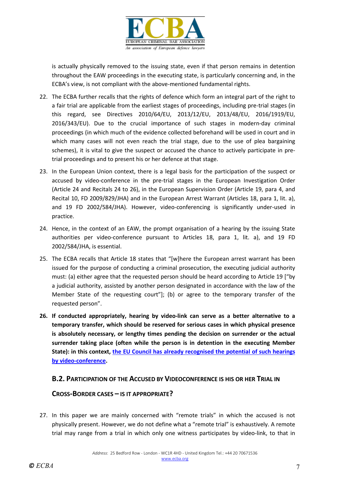

is actually physically removed to the issuing state, even if that person remains in detention throughout the EAW proceedings in the executing state, is particularly concerning and, in the ECBA's view, is not compliant with the above-mentioned fundamental rights.

- 22. The ECBA further recalls that the rights of defence which form an integral part of the right to a fair trial are applicable from the earliest stages of proceedings, including pre-trial stages (in this regard, see Directives 2010/64/EU, 2013/12/EU, 2013/48/EU, 2016/1919/EU, 2016/343/EU). Due to the crucial importance of such stages in modern-day criminal proceedings (in which much of the evidence collected beforehand will be used in court and in which many cases will not even reach the trial stage, due to the use of plea bargaining schemes), it is vital to give the suspect or accused the chance to actively participate in pretrial proceedings and to present his or her defence at that stage.
- 23. In the European Union context, there is a legal basis for the participation of the suspect or accused by video-conference in the pre-trial stages in the European Investigation Order (Article 24 and Recitals 24 to 26), in the European Supervision Order (Article 19, para 4, and Recital 10, FD 2009/829/JHA) and in the European Arrest Warrant (Articles 18, para 1, lit. a), and 19 FD 2002/584/JHA). However, video-conferencing is significantly under-used in practice.
- 24. Hence, in the context of an EAW, the prompt organisation of a hearing by the issuing State authorities per video-conference pursuant to Articles 18, para 1, lit. a), and 19 FD 2002/584/JHA, is essential.
- 25. The ECBA recalls that Article 18 states that "[w]here the European arrest warrant has been issued for the purpose of conducting a criminal prosecution, the executing judicial authority must: (a) either agree that the requested person should be heard according to Article 19 ["by a judicial authority, assisted by another person designated in accordance with the law of the Member State of the requesting court"]; (b) or agree to the temporary transfer of the requested person".
- **26. If conducted appropriately, hearing by video-link can serve as a better alternative to a temporary transfer, which should be reserved for serious cases in which physical presence is absolutely necessary, or lengthy times pending the decision on surrender or the actual surrender taking place (often while the person is in detention in the executing Member State): in this context, [the EU Council has already recognised the potential of such hearings](https://www.fairtrials.org/sites/default/files/st07693-re01.en20-executive-summary-rev-1%20%281%29.pdf)  [by video-conference.](https://www.fairtrials.org/sites/default/files/st07693-re01.en20-executive-summary-rev-1%20%281%29.pdf)**

## **B.2. PARTICIPATION OF THE ACCUSED BY VIDEOCONFERENCE IS HIS OR HER TRIAL IN**

## **CROSS-BORDER CASES – IS IT APPROPRIATE?**

27. In this paper we are mainly concerned with "remote trials" in which the accused is not physically present. However, we do not define what a "remote trial" is exhaustively. A remote trial may range from a trial in which only one witness participates by video-link, to that in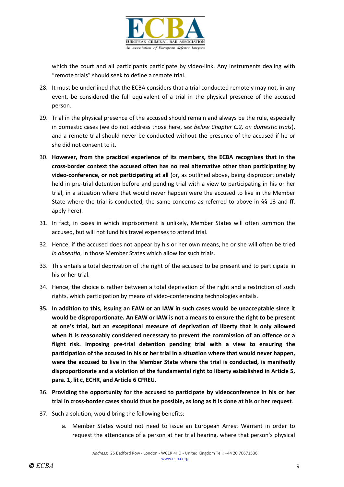

which the court and all participants participate by video-link. Any instruments dealing with "remote trials" should seek to define a remote trial.

- 28. It must be underlined that the ECBA considers that a trial conducted remotely may not, in any event, be considered the full equivalent of a trial in the physical presence of the accused person.
- 29. Trial in the physical presence of the accused should remain and always be the rule, especially in domestic cases (we do not address those here, *see below Chapter C.2, on domestic trials*), and a remote trial should never be conducted without the presence of the accused if he or she did not consent to it.
- 30. **However, from the practical experience of its members, the ECBA recognises that in the cross-border context the accused often has no real alternative other than participating by video-conference, or not participating at all** (or, as outlined above, being disproportionately held in pre-trial detention before and pending trial with a view to participating in his or her trial, in a situation where that would never happen were the accused to live in the Member State where the trial is conducted; the same concerns as referred to above in §§ 13 and ff. apply here).
- 31. In fact, in cases in which imprisonment is unlikely, Member States will often summon the accused, but will not fund his travel expenses to attend trial.
- 32. Hence, if the accused does not appear by his or her own means, he or she will often be tried *in absentia*, in those Member States which allow for such trials.
- 33. This entails a total deprivation of the right of the accused to be present and to participate in his or her trial.
- 34. Hence, the choice is rather between a total deprivation of the right and a restriction of such rights, which participation by means of video-conferencing technologies entails.
- **35. In addition to this, issuing an EAW or an IAW in such cases would be unacceptable since it would be disproportionate. An EAW or IAW is not a means to ensure the right to be present at one's trial, but an exceptional measure of deprivation of liberty that is only allowed when it is reasonably considered necessary to prevent the commission of an offence or a flight risk. Imposing pre-trial detention pending trial with a view to ensuring the participation of the accused in his or her trial in a situation where that would never happen, were the accused to live in the Member State where the trial is conducted, is manifestly disproportionate and a violation of the fundamental right to liberty established in Article 5, para. 1, lit c, ECHR, and Article 6 CFREU.**
- 36. **Providing the opportunity for the accused to participate by videoconference in his or her trial in cross-border cases should thus be possible, as long as it is done at his or her request**.
- 37. Such a solution, would bring the following benefits:
	- a. Member States would not need to issue an European Arrest Warrant in order to request the attendance of a person at her trial hearing, where that person's physical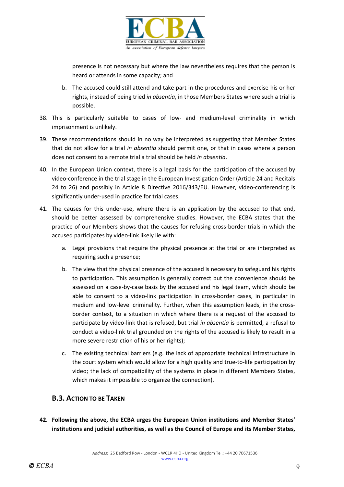

presence is not necessary but where the law nevertheless requires that the person is heard or attends in some capacity; and

- b. The accused could still attend and take part in the procedures and exercise his or her rights, instead of being tried *in absentia*, in those Members States where such a trial is possible.
- 38. This is particularly suitable to cases of low- and medium-level criminality in which imprisonment is unlikely.
- 39. These recommendations should in no way be interpreted as suggesting that Member States that do not allow for a trial *in absentia* should permit one, or that in cases where a person does not consent to a remote trial a trial should be held *in absentia*.
- 40. In the European Union context, there is a legal basis for the participation of the accused by video-conference in the trial stage in the European Investigation Order (Article 24 and Recitals 24 to 26) and possibly in Article 8 Directive 2016/343/EU. However, video-conferencing is significantly under-used in practice for trial cases.
- 41. The causes for this under-use, where there is an application by the accused to that end, should be better assessed by comprehensive studies. However, the ECBA states that the practice of our Members shows that the causes for refusing cross-border trials in which the accused participates by video-link likely lie with:
	- a. Legal provisions that require the physical presence at the trial or are interpreted as requiring such a presence;
	- b. The view that the physical presence of the accused is necessary to safeguard his rights to participation. This assumption is generally correct but the convenience should be assessed on a case-by-case basis by the accused and his legal team, which should be able to consent to a video-link participation in cross-border cases, in particular in medium and low-level criminality. Further, when this assumption leads, in the crossborder context, to a situation in which where there is a request of the accused to participate by video-link that is refused, but trial *in absentia* is permitted, a refusal to conduct a video-link trial grounded on the rights of the accused is likely to result in a more severe restriction of his or her rights);
	- c. The existing technical barriers (e.g. the lack of appropriate technical infrastructure in the court system which would allow for a high quality and true-to-life participation by video; the lack of compatibility of the systems in place in different Members States, which makes it impossible to organize the connection).

## **B.3. ACTION TO BE TAKEN**

**42. Following the above, the ECBA urges the European Union institutions and Member States' institutions and judicial authorities, as well as the Council of Europe and its Member States,**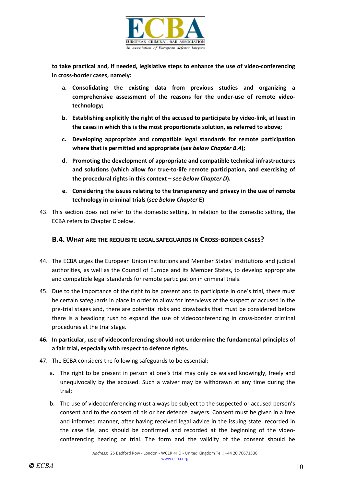

**to take practical and, if needed, legislative steps to enhance the use of video-conferencing in cross-border cases, namely:**

- **a. Consolidating the existing data from previous studies and organizing a comprehensive assessment of the reasons for the under-use of remote videotechnology;**
- **b. Establishing explicitly the right of the accused to participate by video-link, at least in the cases in which this is the most proportionate solution, as referred to above;**
- **c. Developing appropriate and compatible legal standards for remote participation where that is permitted and appropriate (***see below Chapter B.4***);**
- **d. Promoting the development of appropriate and compatible technical infrastructures and solutions (which allow for true-to-life remote participation, and exercising of the procedural rights in this context –** *see below Chapter D***).**
- **e. Considering the issues relating to the transparency and privacy in the use of remote technology in criminal trials (***see below Chapter* **E)**
- 43. This section does not refer to the domestic setting. In relation to the domestic setting, the ECBA refers to Chapter C below.

#### **B.4. WHAT ARE THE REQUISITE LEGAL SAFEGUARDS IN CROSS-BORDER CASES?**

- 44. The ECBA urges the European Union institutions and Member States' institutions and judicial authorities, as well as the Council of Europe and its Member States, to develop appropriate and compatible legal standards for remote participation in criminal trials.
- 45. Due to the importance of the right to be present and to participate in one's trial, there must be certain safeguards in place in order to allow for interviews of the suspect or accused in the pre-trial stages and, there are potential risks and drawbacks that must be considered before there is a headlong rush to expand the use of videoconferencing in cross-border criminal procedures at the trial stage.
- **46. In particular, use of videoconferencing should not undermine the fundamental principles of a fair trial, especially with respect to defence rights.**
- 47. The ECBA considers the following safeguards to be essential:
	- a. The right to be present in person at one's trial may only be waived knowingly, freely and unequivocally by the accused. Such a waiver may be withdrawn at any time during the trial;
	- b. The use of videoconferencing must always be subject to the suspected or accused person's consent and to the consent of his or her defence lawyers. Consent must be given in a free and informed manner, after having received legal advice in the issuing state, recorded in the case file, and should be confirmed and recorded at the beginning of the videoconferencing hearing or trial. The form and the validity of the consent should be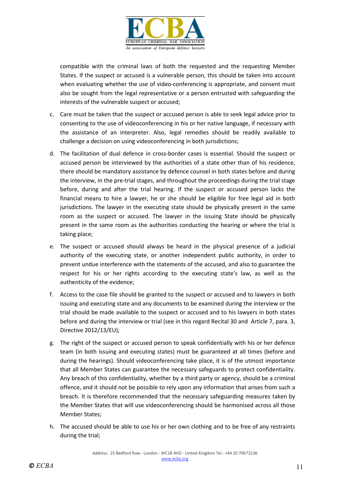

compatible with the criminal laws of both the requested and the requesting Member States. If the suspect or accused is a vulnerable person, this should be taken into account when evaluating whether the use of video-conferencing is appropriate, and consent must also be sought from the legal representative or a person entrusted with safeguarding the interests of the vulnerable suspect or accused;

- c. Care must be taken that the suspect or accused person is able to seek legal advice prior to consenting to the use of videoconferencing in his or her native language, if necessary with the assistance of an interpreter. Also, legal remedies should be readily available to challenge a decision on using videoconferencing in both jurisdictions;
- d. The facilitation of dual defence in cross-border cases is essential. Should the suspect or accused person be interviewed by the authorities of a state other than of his residence, there should be mandatory assistance by defence counsel in both states before and during the interview, in the pre-trial stages, and throughout the proceedings during the trial stage before, during and after the trial hearing. If the suspect or accused person lacks the financial means to hire a lawyer, he or she should be eligible for free legal aid in both jurisdictions. The lawyer in the executing state should be physically present in the same room as the suspect or accused. The lawyer in the issuing State should be physically present in the same room as the authorities conducting the hearing or where the trial is taking place;
- e. The suspect or accused should always be heard in the physical presence of a judicial authority of the executing state, or another independent public authority, in order to prevent undue interference with the statements of the accused, and also to guarantee the respect for his or her rights according to the executing state's law, as well as the authenticity of the evidence;
- f. Access to the case file should be granted to the suspect or accused and to lawyers in both issuing and executing state and any documents to be examined during the interview or the trial should be made available to the suspect or accused and to his lawyers in both states before and during the interview or trial (see in this regard Recital 30 and Article 7, para. 3, Directive 2012/13/EU);
- g. The right of the suspect or accused person to speak confidentially with his or her defence team (in both issuing and executing states) must be guaranteed at all times (before and during the hearings). Should videoconferencing take place, it is of the utmost importance that all Member States can guarantee the necessary safeguards to protect confidentiality. Any breach of this confidentiality, whether by a third party or agency, should be a criminal offence, and it should not be possible to rely upon any information that arises from such a breach. It is therefore recommended that the necessary safeguarding measures taken by the Member States that will use videoconferencing should be harmonised across all those Member States;
- h. The accused should be able to use his or her own clothing and to be free of any restraints during the trial;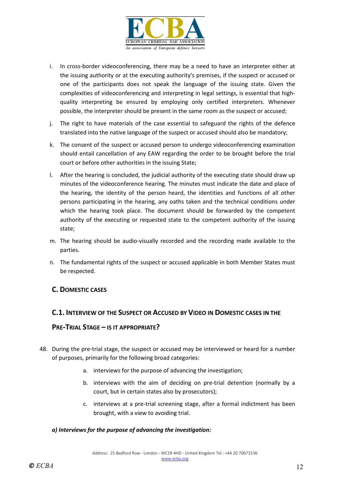

- i. In cross-border videoconferencing, there may be a need to have an interpreter either at the issuing authority or at the executing authority's premises, if the suspect or accused or one of the participants does not speak the language of the issuing state. Given the complexities of videoconferencing and interpreting in legal settings, is essential that highquality interpreting be ensured by employing only certified interpreters. Whenever possible, the interpreter should be present in the same room as the suspect or accused;
- j. The right to have materials of the case essential to safeguard the rights of the defence translated into the native language of the suspect or accused should also be mandatory;
- k. The consent of the suspect or accused person to undergo videoconferencing examination should entail cancellation of any EAW regarding the order to be brought before the trial court or before other authorities in the issuing State;
- l. After the hearing is concluded, the judicial authority of the executing state should draw up minutes of the videoconference hearing. The minutes must indicate the date and place of the hearing, the identity of the person heard, the identities and functions of all other persons participating in the hearing, any oaths taken and the technical conditions under which the hearing took place. The document should be forwarded by the competent authority of the executing or requested state to the competent authority of the issuing state;
- m. The hearing should be audio-visually recorded and the recording made available to the parties.
- n. The fundamental rights of the suspect or accused applicable in both Member States must be respected.

## **C. DOMESTIC CASES**

#### **C.1. INTERVIEW OF THE SUSPECT OR ACCUSED BY VIDEO IN DOMESTIC CASES IN THE**

#### **PRE-TRIAL STAGE – IS IT APPROPRIATE?**

- 48. During the pre-trial stage, the suspect or accused may be interviewed or heard for a number of purposes, primarily for the following broad categories:
	- a. interviews for the purpose of advancing the investigation;
	- b. interviews with the aim of deciding on pre-trial detention (normally by a court, but in certain states also by prosecutors);
	- c. interviews at a pre-trial screening stage, after a formal indictment has been brought, with a view to avoiding trial.

#### *a) Interviews for the purpose of advancing the investigation:*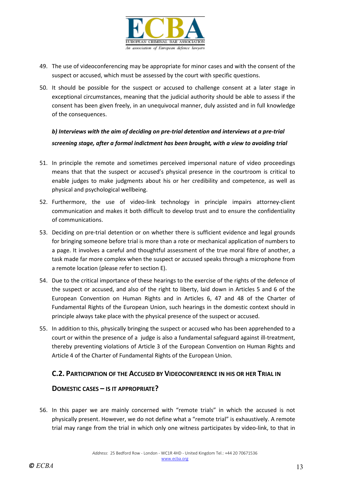

- 49. The use of videoconferencing may be appropriate for minor cases and with the consent of the suspect or accused, which must be assessed by the court with specific questions.
- 50. It should be possible for the suspect or accused to challenge consent at a later stage in exceptional circumstances, meaning that the judicial authority should be able to assess if the consent has been given freely, in an unequivocal manner, duly assisted and in full knowledge of the consequences.

*b) Interviews with the aim of deciding on pre-trial detention and interviews at a pre-trial screening stage, after a formal indictment has been brought, with a view to avoiding trial*

- 51. In principle the remote and sometimes perceived impersonal nature of video proceedings means that that the suspect or accused's physical presence in the courtroom is critical to enable judges to make judgments about his or her credibility and competence, as well as physical and psychological wellbeing.
- 52. Furthermore, the use of video-link technology in principle impairs attorney-client communication and makes it both difficult to develop trust and to ensure the confidentiality of communications.
- 53. Deciding on pre-trial detention or on whether there is sufficient evidence and legal grounds for bringing someone before trial is more than a rote or mechanical application of numbers to a page. It involves a careful and thoughtful assessment of the true moral fibre of another, a task made far more complex when the suspect or accused speaks through a microphone from a remote location (please refer to section E).
- 54. Due to the critical importance of these hearings to the exercise of the rights of the defence of the suspect or accused, and also of the right to liberty, laid down in Articles 5 and 6 of the European Convention on Human Rights and in Articles 6, 47 and 48 of the Charter of Fundamental Rights of the European Union, such hearings in the domestic context should in principle always take place with the physical presence of the suspect or accused.
- 55. In addition to this, physically bringing the suspect or accused who has been apprehended to a court or within the presence of a judge is also a fundamental safeguard against ill-treatment, thereby preventing violations of Article 3 of the European Convention on Human Rights and Article 4 of the Charter of Fundamental Rights of the European Union.

## **C.2. PARTICIPATION OF THE ACCUSED BY VIDEOCONFERENCE IN HIS OR HER TRIAL IN**

## **DOMESTIC CASES – IS IT APPROPRIATE?**

56. In this paper we are mainly concerned with "remote trials" in which the accused is not physically present. However, we do not define what a "remote trial" is exhaustively. A remote trial may range from the trial in which only one witness participates by video-link, to that in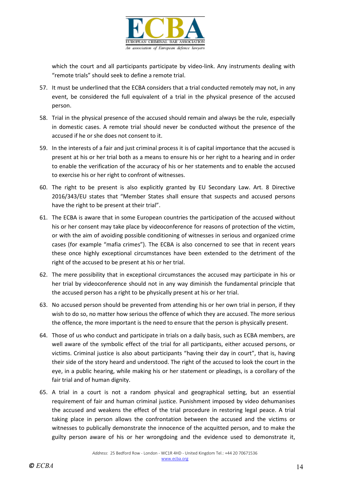

which the court and all participants participate by video-link. Any instruments dealing with "remote trials" should seek to define a remote trial.

- 57. It must be underlined that the ECBA considers that a trial conducted remotely may not, in any event, be considered the full equivalent of a trial in the physical presence of the accused person.
- 58. Trial in the physical presence of the accused should remain and always be the rule, especially in domestic cases. A remote trial should never be conducted without the presence of the accused if he or she does not consent to it.
- 59. In the interests of a fair and just criminal process it is of capital importance that the accused is present at his or her trial both as a means to ensure his or her right to a hearing and in order to enable the verification of the accuracy of his or her statements and to enable the accused to exercise his or her right to confront of witnesses.
- 60. The right to be present is also explicitly granted by EU Secondary Law. Art. 8 Directive 2016/343/EU states that "Member States shall ensure that suspects and accused persons have the right to be present at their trial".
- 61. The ECBA is aware that in some European countries the participation of the accused without his or her consent may take place by videoconference for reasons of protection of the victim, or with the aim of avoiding possible conditioning of witnesses in serious and organized crime cases (for example "mafia crimes"). The ECBA is also concerned to see that in recent years these once highly exceptional circumstances have been extended to the detriment of the right of the accused to be present at his or her trial.
- 62. The mere possibility that in exceptional circumstances the accused may participate in his or her trial by videoconference should not in any way diminish the fundamental principle that the accused person has a right to be physically present at his or her trial.
- 63. No accused person should be prevented from attending his or her own trial in person, if they wish to do so, no matter how serious the offence of which they are accused. The more serious the offence, the more important is the need to ensure that the person is physically present.
- 64. Those of us who conduct and participate in trials on a daily basis, such as ECBA members, are well aware of the symbolic effect of the trial for all participants, either accused persons, or victims. Criminal justice is also about participants "having their day in court", that is, having their side of the story heard and understood. The right of the accused to look the court in the eye, in a public hearing, while making his or her statement or pleadings, is a corollary of the fair trial and of human dignity.
- 65. A trial in a court is not a random physical and geographical setting, but an essential requirement of fair and human criminal justice. Punishment imposed by video dehumanises the accused and weakens the effect of the trial procedure in restoring legal peace. A trial taking place in person allows the confrontation between the accused and the victims or witnesses to publically demonstrate the innocence of the acquitted person, and to make the guilty person aware of his or her wrongdoing and the evidence used to demonstrate it,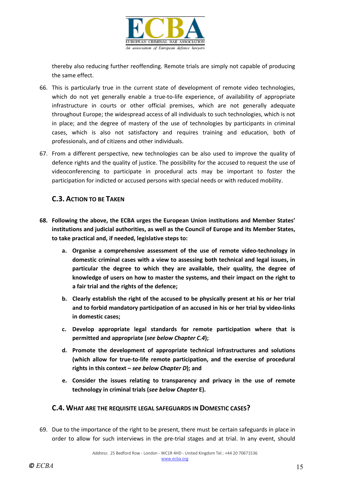

thereby also reducing further reoffending. Remote trials are simply not capable of producing the same effect.

- 66. This is particularly true in the current state of development of remote video technologies, which do not yet generally enable a true-to-life experience, of availability of appropriate infrastructure in courts or other official premises, which are not generally adequate throughout Europe; the widespread access of all individuals to such technologies, which is not in place; and the degree of mastery of the use of technologies by participants in criminal cases, which is also not satisfactory and requires training and education, both of professionals, and of citizens and other individuals.
- 67. From a different perspective, new technologies can be also used to improve the quality of defence rights and the quality of justice. The possibility for the accused to request the use of videoconferencing to participate in procedural acts may be important to foster the participation for indicted or accused persons with special needs or with reduced mobility.

## **C.3. ACTION TO BE TAKEN**

- **68. Following the above, the ECBA urges the European Union institutions and Member States' institutions and judicial authorities, as well as the Council of Europe and its Member States, to take practical and, if needed, legislative steps to:**
	- **a. Organise a comprehensive assessment of the use of remote video-technology in domestic criminal cases with a view to assessing both technical and legal issues, in particular the degree to which they are available, their quality, the degree of knowledge of users on how to master the systems, and their impact on the right to a fair trial and the rights of the defence;**
	- **b. Clearly establish the right of the accused to be physically present at his or her trial and to forbid mandatory participation of an accused in his or her trial by video-links in domestic cases;**
	- **c. Develop appropriate legal standards for remote participation where that is permitted and appropriate (***see below Chapter C.4***);**
	- **d. Promote the development of appropriate technical infrastructures and solutions (which allow for true-to-life remote participation, and the exercise of procedural rights in this context –** *see below Chapter D***); and**
	- **e. Consider the issues relating to transparency and privacy in the use of remote technology in criminal trials (***see below Chapter* **E).**

#### **C.4. WHAT ARE THE REQUISITE LEGAL SAFEGUARDS IN DOMESTIC CASES?**

69. Due to the importance of the right to be present, there must be certain safeguards in place in order to allow for such interviews in the pre-trial stages and at trial. In any event, should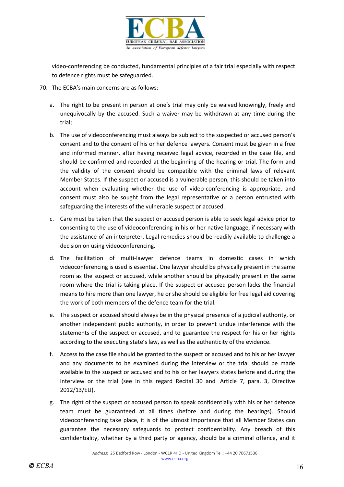

video-conferencing be conducted, fundamental principles of a fair trial especially with respect to defence rights must be safeguarded.

- 70. The ECBA's main concerns are as follows:
	- a. The right to be present in person at one's trial may only be waived knowingly, freely and unequivocally by the accused. Such a waiver may be withdrawn at any time during the trial;
	- b. The use of videoconferencing must always be subject to the suspected or accused person's consent and to the consent of his or her defence lawyers. Consent must be given in a free and informed manner, after having received legal advice, recorded in the case file, and should be confirmed and recorded at the beginning of the hearing or trial. The form and the validity of the consent should be compatible with the criminal laws of relevant Member States. If the suspect or accused is a vulnerable person, this should be taken into account when evaluating whether the use of video-conferencing is appropriate, and consent must also be sought from the legal representative or a person entrusted with safeguarding the interests of the vulnerable suspect or accused.
	- c. Care must be taken that the suspect or accused person is able to seek legal advice prior to consenting to the use of videoconferencing in his or her native language, if necessary with the assistance of an interpreter. Legal remedies should be readily available to challenge a decision on using videoconferencing.
	- d. The facilitation of multi-lawyer defence teams in domestic cases in which videoconferencing is used is essential. One lawyer should be physically present in the same room as the suspect or accused, while another should be physically present in the same room where the trial is taking place. If the suspect or accused person lacks the financial means to hire more than one lawyer, he or she should be eligible for free legal aid covering the work of both members of the defence team for the trial.
	- e. The suspect or accused should always be in the physical presence of a judicial authority, or another independent public authority, in order to prevent undue interference with the statements of the suspect or accused, and to guarantee the respect for his or her rights according to the executing state's law, as well as the authenticity of the evidence.
	- f. Access to the case file should be granted to the suspect or accused and to his or her lawyer and any documents to be examined during the interview or the trial should be made available to the suspect or accused and to his or her lawyers states before and during the interview or the trial (see in this regard Recital 30 and Article 7, para. 3, Directive 2012/13/EU).
	- g. The right of the suspect or accused person to speak confidentially with his or her defence team must be guaranteed at all times (before and during the hearings). Should videoconferencing take place, it is of the utmost importance that all Member States can guarantee the necessary safeguards to protect confidentiality. Any breach of this confidentiality, whether by a third party or agency, should be a criminal offence, and it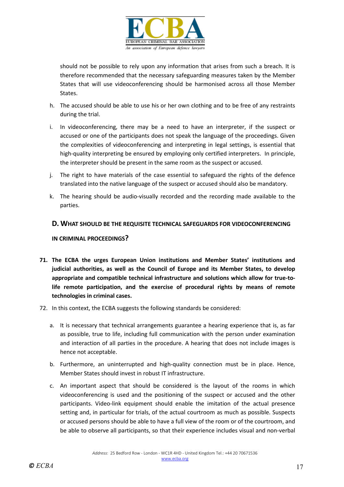

should not be possible to rely upon any information that arises from such a breach. It is therefore recommended that the necessary safeguarding measures taken by the Member States that will use videoconferencing should be harmonised across all those Member States.

- h. The accused should be able to use his or her own clothing and to be free of any restraints during the trial.
- i. In videoconferencing, there may be a need to have an interpreter, if the suspect or accused or one of the participants does not speak the language of the proceedings. Given the complexities of videoconferencing and interpreting in legal settings, is essential that high-quality interpreting be ensured by employing only certified interpreters. In principle, the interpreter should be present in the same room as the suspect or accused.
- j. The right to have materials of the case essential to safeguard the rights of the defence translated into the native language of the suspect or accused should also be mandatory.
- k. The hearing should be audio-visually recorded and the recording made available to the parties.

#### **D. WHAT SHOULD BE THE REQUISITE TECHNICAL SAFEGUARDS FOR VIDEOCONFERENCING**

#### **IN CRIMINAL PROCEEDINGS?**

- **71. The ECBA the urges European Union institutions and Member States' institutions and judicial authorities, as well as the Council of Europe and its Member States, to develop appropriate and compatible technical infrastructure and solutions which allow for true-tolife remote participation, and the exercise of procedural rights by means of remote technologies in criminal cases.**
- 72. In this context, the ECBA suggests the following standards be considered:
	- a. It is necessary that technical arrangements guarantee a hearing experience that is, as far as possible, true to life, including full communication with the person under examination and interaction of all parties in the procedure. A hearing that does not include images is hence not acceptable.
	- b. Furthermore, an uninterrupted and high-quality connection must be in place. Hence, Member States should invest in robust IT infrastructure.
	- c. An important aspect that should be considered is the layout of the rooms in which videoconferencing is used and the positioning of the suspect or accused and the other participants. Video-link equipment should enable the imitation of the actual presence setting and, in particular for trials, of the actual courtroom as much as possible. Suspects or accused persons should be able to have a full view of the room or of the courtroom, and be able to observe all participants, so that their experience includes visual and non-verbal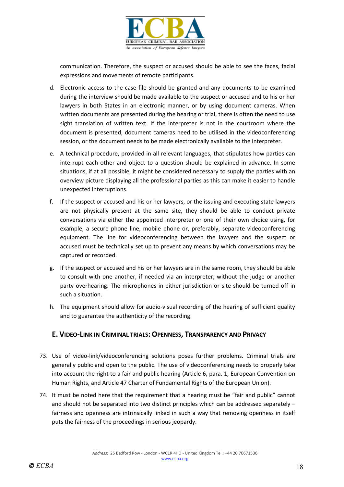

communication. Therefore, the suspect or accused should be able to see the faces, facial expressions and movements of remote participants.

- d. Electronic access to the case file should be granted and any documents to be examined during the interview should be made available to the suspect or accused and to his or her lawyers in both States in an electronic manner, or by using document cameras. When written documents are presented during the hearing or trial, there is often the need to use sight translation of written text. If the interpreter is not in the courtroom where the document is presented, document cameras need to be utilised in the videoconferencing session, or the document needs to be made electronically available to the interpreter.
- e. A technical procedure, provided in all relevant languages, that stipulates how parties can interrupt each other and object to a question should be explained in advance. In some situations, if at all possible, it might be considered necessary to supply the parties with an overview picture displaying all the professional parties as this can make it easier to handle unexpected interruptions.
- f. If the suspect or accused and his or her lawyers, or the issuing and executing state lawyers are not physically present at the same site, they should be able to conduct private conversations via either the appointed interpreter or one of their own choice using, for example, a secure phone line, mobile phone or, preferably, separate videoconferencing equipment. The line for videoconferencing between the lawyers and the suspect or accused must be technically set up to prevent any means by which conversations may be captured or recorded.
- g. If the suspect or accused and his or her lawyers are in the same room, they should be able to consult with one another, if needed via an interpreter, without the judge or another party overhearing. The microphones in either jurisdiction or site should be turned off in such a situation.
- h. The equipment should allow for audio-visual recording of the hearing of sufficient quality and to guarantee the authenticity of the recording.

## **E. VIDEO-LINK IN CRIMINAL TRIALS: OPENNESS, TRANSPARENCY AND PRIVACY**

- 73. Use of video-link/videoconferencing solutions poses further problems. Criminal trials are generally public and open to the public. The use of videoconferencing needs to properly take into account the right to a fair and public hearing (Article 6, para. 1, European Convention on Human Rights, and Article 47 Charter of Fundamental Rights of the European Union).
- 74. It must be noted here that the requirement that a hearing must be "fair and public" cannot and should not be separated into two distinct principles which can be addressed separately – fairness and openness are intrinsically linked in such a way that removing openness in itself puts the fairness of the proceedings in serious jeopardy.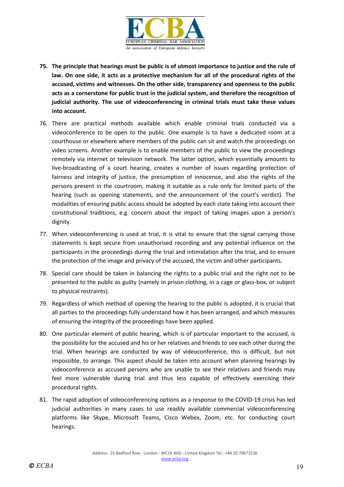

- **75. The principle that hearings must be public is of utmost importance to justice and the rule of law. On one side, it acts as a protective mechanism for all of the procedural rights of the accused, victims and witnesses. On the other side, transparency and openness to the public acts as a cornerstone for public trust in the judicial system, and therefore the recognition of judicial authority. The use of videoconferencing in criminal trials must take these values into account.**
- 76. There are practical methods available which enable criminal trials conducted via a videoconference to be open to the public. One example is to have a dedicated room at a courthouse or elsewhere where members of the public can sit and watch the proceedings on video screens. Another example is to enable members of the public to view the proceedings remotely via internet or television network. The latter option, which essentially amounts to live-broadcasting of a court hearing, creates a number of issues regarding protection of fairness and integrity of justice, the presumption of innocence, and also the rights of the persons present in the courtroom, making it suitable as a rule only for limited parts of the hearing (such as opening statements, and the announcement of the court's verdict). The modalities of ensuring public access should be adopted by each state taking into account their constitutional traditions, e.g. concern about the impact of taking images upon a person's dignity.
- 77. When videoconferencing is used at trial, it is vital to ensure that the signal carrying those statements is kept secure from unauthorised recording and any potential influence on the participants in the proceedings during the trial and intimidation after the trial, and to ensure the protection of the image and privacy of the accused, the victim and other participants.
- 78. Special care should be taken in balancing the rights to a public trial and the right not to be presented to the public as guilty (namely in prison clothing, in a cage or glass-box, or subject to physical restraints).
- 79. Regardless of which method of opening the hearing to the public is adopted, it is crucial that all parties to the proceedings fully understand how it has been arranged, and which measures of ensuring the integrity of the proceedings have been applied.
- 80. One particular element of public hearing, which is of particular important to the accused, is the possibility for the accused and his or her relatives and friends to see each other during the trial. When hearings are conducted by way of videoconference, this is difficult, but not impossible, to arrange. This aspect should be taken into account when planning hearings by videoconference as accused persons who are unable to see their relatives and friends may feel more vulnerable during trial and thus less capable of effectively exercising their procedural rights.
- 81. The rapid adoption of videoconferencing options as a response to the COVID-19 crisis has led judicial authorities in many cases to use readily available commercial videoconferencing platforms like Skype, Microsoft Teams, Cisco Webex, Zoom, etc. for conducting court hearings.